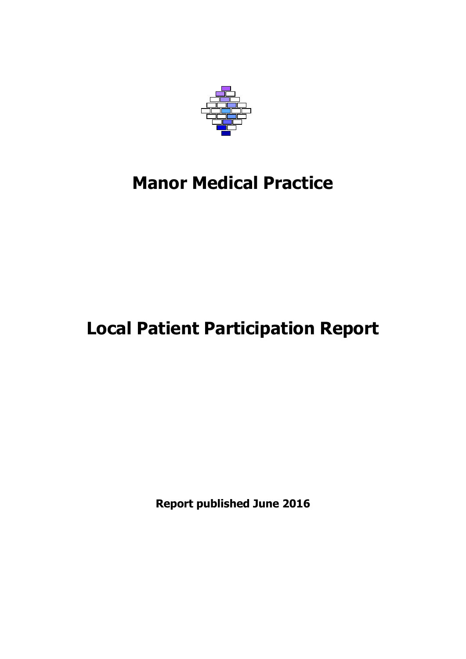

## **Manor Medical Practice**

# **Local Patient Participation Report**

**Report published June 2016**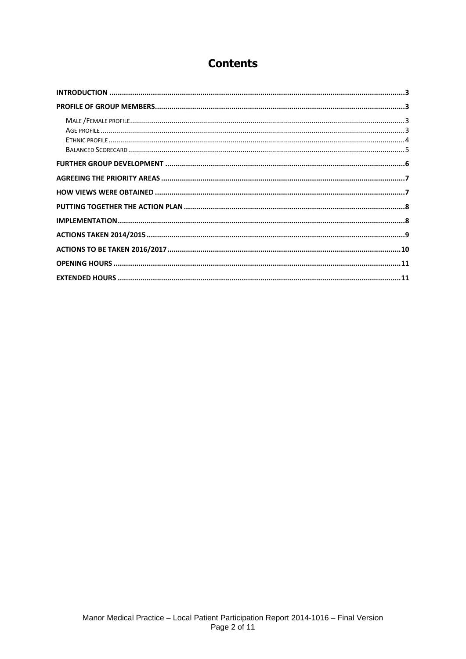### **Contents**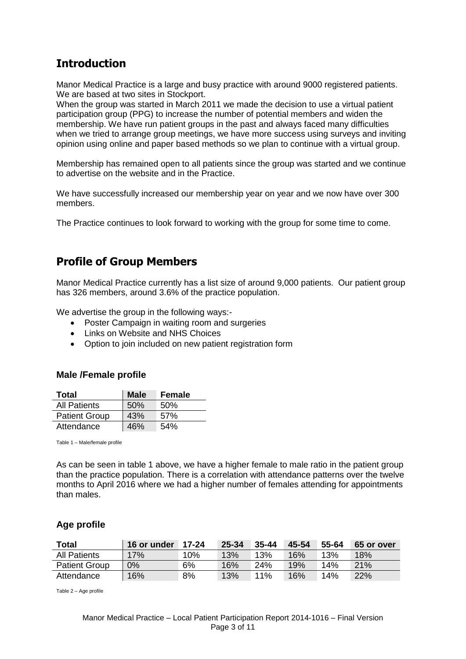### <span id="page-2-0"></span>**Introduction**

Manor Medical Practice is a large and busy practice with around 9000 registered patients. We are based at two sites in Stockport.

When the group was started in March 2011 we made the decision to use a virtual patient participation group (PPG) to increase the number of potential members and widen the membership. We have run patient groups in the past and always faced many difficulties when we tried to arrange group meetings, we have more success using surveys and inviting opinion using online and paper based methods so we plan to continue with a virtual group.

Membership has remained open to all patients since the group was started and we continue to advertise on the website and in the Practice.

We have successfully increased our membership year on year and we now have over 300 members.

The Practice continues to look forward to working with the group for some time to come.

### <span id="page-2-1"></span>**Profile of Group Members**

Manor Medical Practice currently has a list size of around 9,000 patients. Our patient group has 326 members, around 3.6% of the practice population.

We advertise the group in the following ways:-

- Poster Campaign in waiting room and surgeries
- Links on Website and NHS Choices
- Option to join included on new patient registration form

#### <span id="page-2-2"></span>**Male /Female profile**

| Total                | <b>Male</b> | Female |
|----------------------|-------------|--------|
| <b>All Patients</b>  | 50%         | .50%   |
| <b>Patient Group</b> | 43%         | 57%    |
| Attendance           | 46%         | 54%    |

Table 1 – Male/female profile

As can be seen in table 1 above, we have a higher female to male ratio in the patient group than the practice population. There is a correlation with attendance patterns over the twelve months to April 2016 where we had a higher number of females attending for appointments than males.

#### <span id="page-2-3"></span>**Age profile**

| <b>Total</b>         | 16 or under | 17-24 | 25-34 | $35 - 44$ | 45-54 | 55-64 | 65 or over |
|----------------------|-------------|-------|-------|-----------|-------|-------|------------|
| <b>All Patients</b>  | 17%         | 10%   | 13%   | 13%       | 16%   | 13%   | $18\%$     |
| <b>Patient Group</b> | $0\%$       | 6%    | 16%   | 24%       | 19%   | 14%   | 21%        |
| Attendance           | 16%         | 8%    | 13%   | 11%       | 16%   | 14%   | 22%        |

Table 2 – Age profile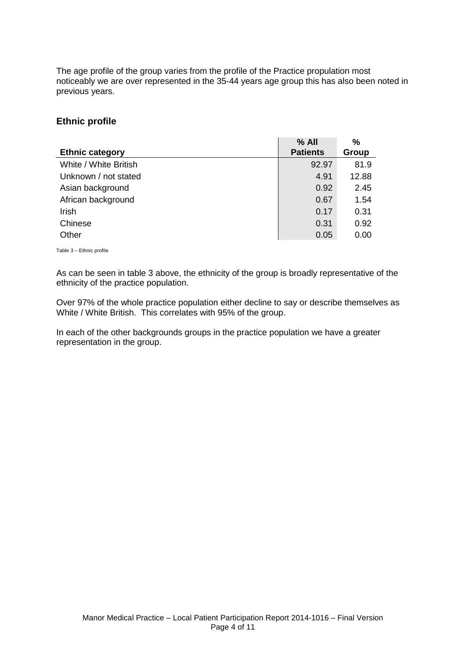The age profile of the group varies from the profile of the Practice propulation most noticeably we are over represented in the 35-44 years age group this has also been noted in previous years.

#### <span id="page-3-0"></span>**Ethnic profile**

|                        | $%$ All         | %     |
|------------------------|-----------------|-------|
| <b>Ethnic category</b> | <b>Patients</b> | Group |
| White / White British  | 92.97           | 81.9  |
| Unknown / not stated   | 4.91            | 12.88 |
| Asian background       | 0.92            | 2.45  |
| African background     | 0.67            | 1.54  |
| <b>Irish</b>           | 0.17            | 0.31  |
| Chinese                | 0.31            | 0.92  |
| Other                  | 0.05            | 0.00  |

Table 3 – Ethnic profile

As can be seen in table 3 above, the ethnicity of the group is broadly representative of the ethnicity of the practice population.

Over 97% of the whole practice population either decline to say or describe themselves as White / White British. This correlates with 95% of the group.

In each of the other backgrounds groups in the practice population we have a greater representation in the group.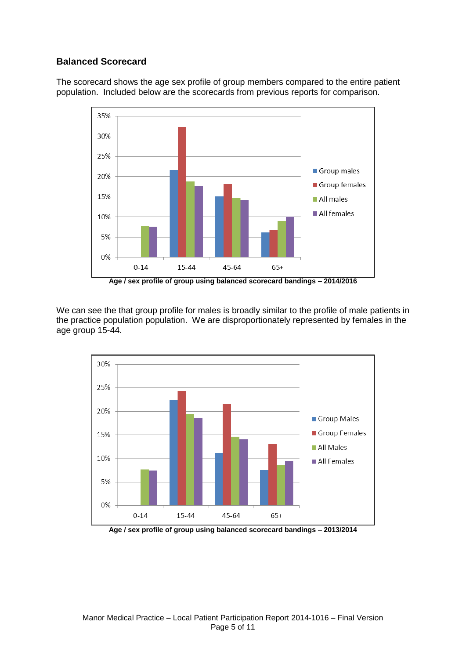### <span id="page-4-0"></span>**Balanced Scorecard**

The scorecard shows the age sex profile of group members compared to the entire patient population. Included below are the scorecards from previous reports for comparison.



**Age / sex profile of group using balanced scorecard bandings – 2014/2016**

We can see the that group profile for males is broadly similar to the profile of male patients in the practice population population. We are disproportionately represented by females in the age group 15-44.



**Age / sex profile of group using balanced scorecard bandings – 2013/2014**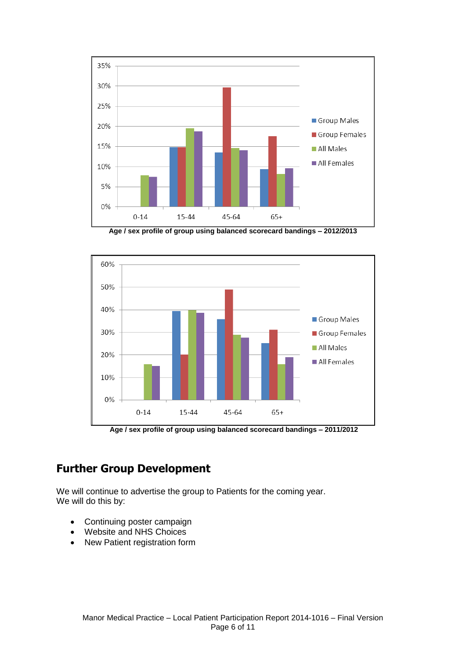

**Age / sex profile of group using balanced scorecard bandings – 2012/2013**



**Age / sex profile of group using balanced scorecard bandings – 2011/2012**

### <span id="page-5-0"></span>**Further Group Development**

We will continue to advertise the group to Patients for the coming year. We will do this by:

- Continuing poster campaign
- Website and NHS Choices
- New Patient registration form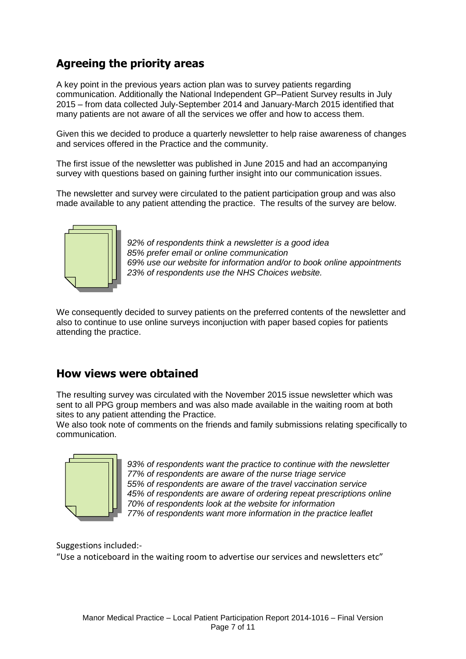## <span id="page-6-0"></span>**Agreeing the priority areas**

A key point in the previous years action plan was to survey patients regarding communication. Additionally the National Independent GP–Patient Survey results in July 2015 – from data collected July-September 2014 and January-March 2015 identified that many patients are not aware of all the services we offer and how to access them.

Given this we decided to produce a quarterly newsletter to help raise awareness of changes and services offered in the Practice and the community.

The first issue of the newsletter was published in June 2015 and had an accompanying survey with questions based on gaining further insight into our communication issues.

The newsletter and survey were circulated to the patient participation group and was also made available to any patient attending the practice. The results of the survey are below.



*92% of respondents think a newsletter is a good idea 85% prefer email or online communication 69% use our website for information and/or to book online appointments 23% of respondents use the NHS Choices website.* 

We consequently decided to survey patients on the preferred contents of the newsletter and also to continue to use online surveys inconjuction with paper based copies for patients attending the practice.

### <span id="page-6-1"></span>**How views were obtained**

The resulting survey was circulated with the November 2015 issue newsletter which was sent to all PPG group members and was also made available in the waiting room at both sites to any patient attending the Practice.

We also took note of comments on the friends and family submissions relating specifically to communication.



*93% of respondents want the practice to continue with the newsletter 77% of respondents are aware of the nurse triage service 55% of respondents are aware of the travel vaccination service 45% of respondents are aware of ordering repeat prescriptions online 70% of respondents look at the website for information 77% of respondents want more information in the practice leaflet*

Suggestions included:-

"Use a noticeboard in the waiting room to advertise our services and newsletters etc"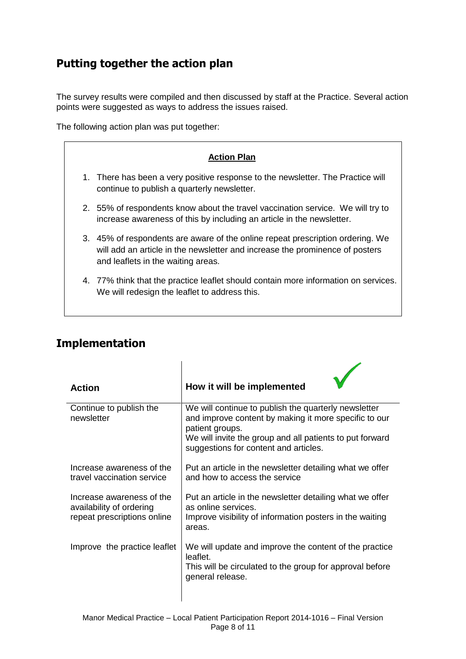## <span id="page-7-0"></span>**Putting together the action plan**

The survey results were compiled and then discussed by staff at the Practice. Several action points were suggested as ways to address the issues raised.

The following action plan was put together:



| <b>Action</b>                                                                        | How it will be implemented                                                                                                                                                                                                            |
|--------------------------------------------------------------------------------------|---------------------------------------------------------------------------------------------------------------------------------------------------------------------------------------------------------------------------------------|
| Continue to publish the<br>newsletter                                                | We will continue to publish the quarterly newsletter<br>and improve content by making it more specific to our<br>patient groups.<br>We will invite the group and all patients to put forward<br>suggestions for content and articles. |
| Increase awareness of the<br>travel vaccination service                              | Put an article in the newsletter detailing what we offer<br>and how to access the service                                                                                                                                             |
| Increase awareness of the<br>availability of ordering<br>repeat prescriptions online | Put an article in the newsletter detailing what we offer<br>as online services.<br>Improve visibility of information posters in the waiting<br>areas.                                                                                 |
| Improve the practice leaflet                                                         | We will update and improve the content of the practice<br>leaflet.<br>This will be circulated to the group for approval before<br>general release.                                                                                    |

 $\overline{1}$ 

### <span id="page-7-1"></span>**Implementation**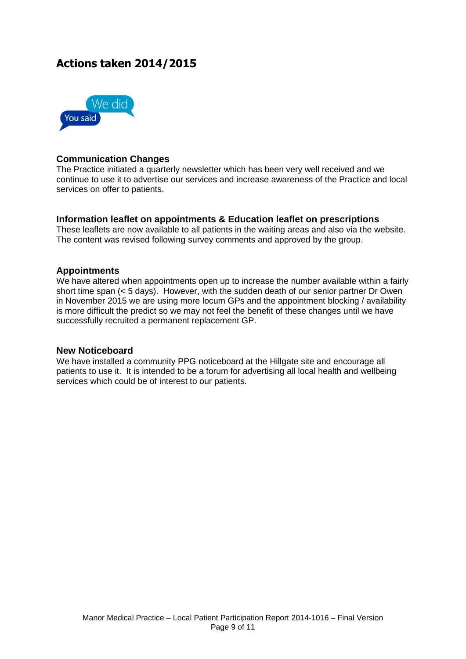### <span id="page-8-0"></span>**Actions taken 2014/2015**



#### **Communication Changes**

The Practice initiated a quarterly newsletter which has been very well received and we continue to use it to advertise our services and increase awareness of the Practice and local services on offer to patients.

#### **Information leaflet on appointments & Education leaflet on prescriptions**

These leaflets are now available to all patients in the waiting areas and also via the website. The content was revised following survey comments and approved by the group.

#### **Appointments**

We have altered when appointments open up to increase the number available within a fairly short time span (< 5 days). However, with the sudden death of our senior partner Dr Owen in November 2015 we are using more locum GPs and the appointment blocking / availability is more difficult the predict so we may not feel the benefit of these changes until we have successfully recruited a permanent replacement GP.

#### **New Noticeboard**

We have installed a community PPG noticeboard at the Hillgate site and encourage all patients to use it. It is intended to be a forum for advertising all local health and wellbeing services which could be of interest to our patients.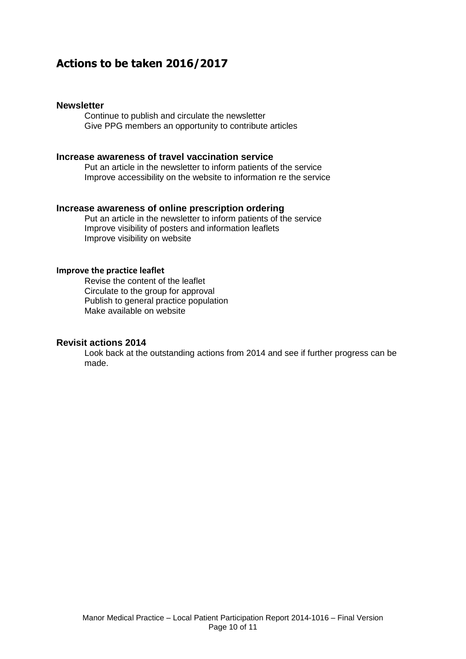### <span id="page-9-0"></span>**Actions to be taken 2016/2017**

#### **Newsletter**

Continue to publish and circulate the newsletter Give PPG members an opportunity to contribute articles

#### **Increase awareness of travel vaccination service**

Put an article in the newsletter to inform patients of the service Improve accessibility on the website to information re the service

#### **Increase awareness of online prescription ordering**

Put an article in the newsletter to inform patients of the service Improve visibility of posters and information leaflets Improve visibility on website

#### **Improve the practice leaflet**

Revise the content of the leaflet Circulate to the group for approval Publish to general practice population Make available on website

#### **Revisit actions 2014**

Look back at the outstanding actions from 2014 and see if further progress can be made.